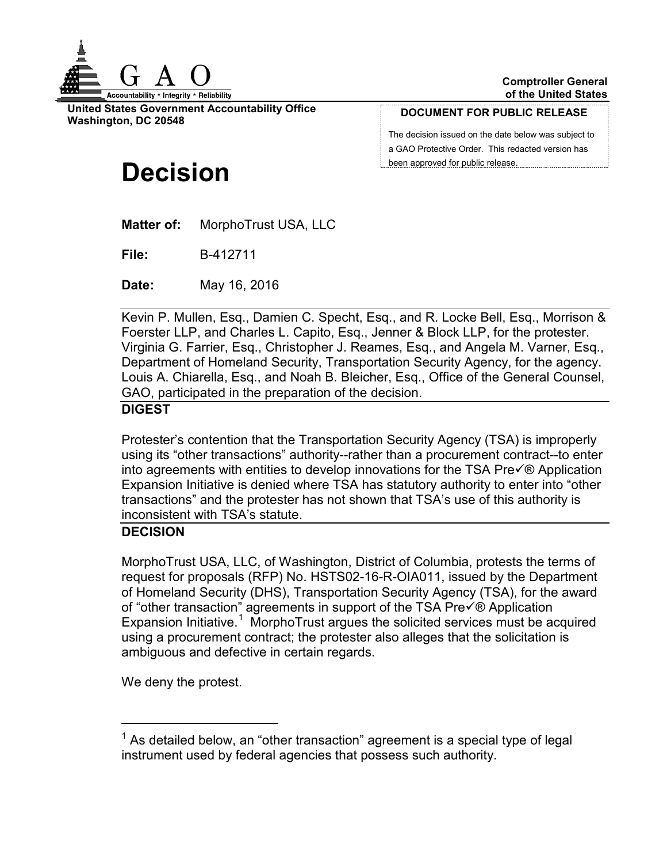

**United States Government Accountability Office Washington, DC 20548**

#### **DOCUMENT FOR PUBLIC RELEASE**

The decision issued on the date below was subject to a GAO Protective Order. This redacted version has been approved for public release.

# **Decision**

**Matter of:** MorphoTrust USA, LLC

**File:** B-412711

**Date:** May 16, 2016

Kevin P. Mullen, Esq., Damien C. Specht, Esq., and R. Locke Bell, Esq., Morrison & Foerster LLP, and Charles L. Capito, Esq., Jenner & Block LLP, for the protester. Virginia G. Farrier, Esq., Christopher J. Reames, Esq., and Angela M. Varner, Esq., Department of Homeland Security, Transportation Security Agency, for the agency. Louis A. Chiarella, Esq., and Noah B. Bleicher, Esq., Office of the General Counsel, GAO, participated in the preparation of the decision.

### **DIGEST**

Protester's contention that the Transportation Security Agency (TSA) is improperly using its "other transactions" authority--rather than a procurement contract--to enter into agreements with entities to develop innovations for the TSA Pre $\sqrt{\theta}$  Application Expansion Initiative is denied where TSA has statutory authority to enter into "other transactions" and the protester has not shown that TSA's use of this authority is inconsistent with TSA's statute.

### **DECISION**

MorphoTrust USA, LLC, of Washington, District of Columbia, protests the terms of request for proposals (RFP) No. HSTS02-16-R-OIA011, issued by the Department of Homeland Security (DHS), Transportation Security Agency (TSA), for the award of "other transaction" agreements in support of the TSA Pre $\sqrt{\theta}$  Application Expansion Initiative.<sup>[1](#page-0-0)</sup> MorphoTrust argues the solicited services must be acquired using a procurement contract; the protester also alleges that the solicitation is ambiguous and defective in certain regards.

We deny the protest.

<span id="page-0-0"></span> $1$  As detailed below, an "other transaction" agreement is a special type of legal instrument used by federal agencies that possess such authority.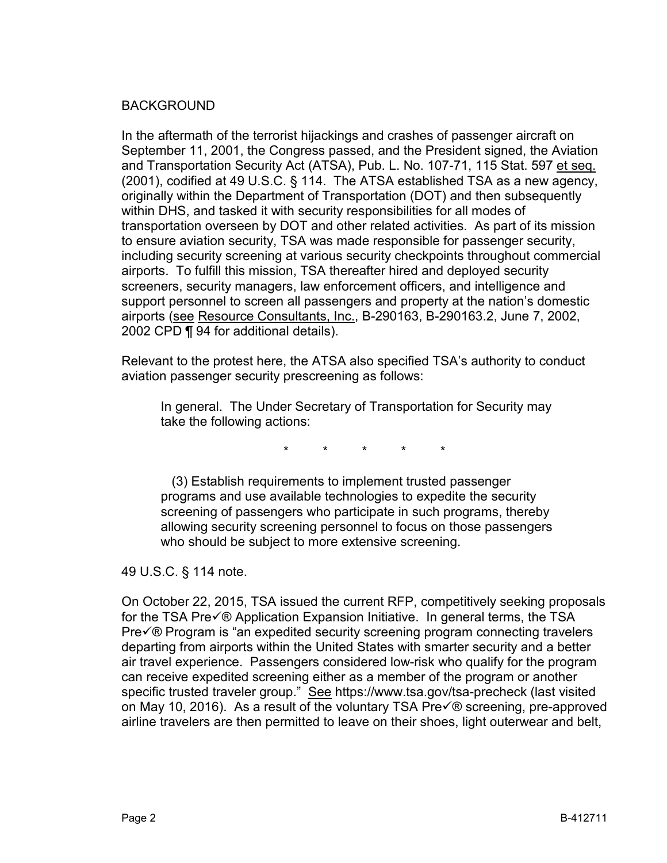#### BACKGROUND

In the aftermath of the terrorist hijackings and crashes of passenger aircraft on September 11, 2001, the Congress passed, and the President signed, the Aviation and Transportation Security Act (ATSA), Pub. L. No. 107-71, 115 Stat. 597 et seq. (2001), codified at 49 U.S.C. § 114. The ATSA established TSA as a new agency, originally within the Department of Transportation (DOT) and then subsequently within DHS, and tasked it with security responsibilities for all modes of transportation overseen by DOT and other related activities. As part of its mission to ensure aviation security, TSA was made responsible for passenger security, including security screening at various security checkpoints throughout commercial airports. To fulfill this mission, TSA thereafter hired and deployed security screeners, security managers, law enforcement officers, and intelligence and support personnel to screen all passengers and property at the nation's domestic airports (see Resource Consultants, Inc., B-290163, B-290163.2, June 7, 2002, 2002 CPD ¶ 94 for additional details).

Relevant to the protest here, the ATSA also specified TSA's authority to conduct aviation passenger security prescreening as follows:

In general. The Under Secretary of Transportation for Security may take the following actions:

\* \* \* \* \*

 (3) Establish requirements to implement trusted passenger programs and use available technologies to expedite the security screening of passengers who participate in such programs, thereby allowing security screening personnel to focus on those passengers who should be subject to more extensive screening.

49 U.S.C. § 114 note.

On October 22, 2015, TSA issued the current RFP, competitively seeking proposals for the TSA Pre $\sqrt{\theta}$  Application Expansion Initiative. In general terms, the TSA  $Pre\sqrt{\theta}$  Program is "an expedited security screening program connecting travelers departing from airports within the United States with smarter security and a better air travel experience. Passengers considered low-risk who qualify for the program can receive expedited screening either as a member of the program or another specific trusted traveler group." See https://www.tsa.gov/tsa-precheck (last visited on May 10, 2016). As a result of the voluntary TSA Pre $\sqrt{\theta}$  screening, pre-approved airline travelers are then permitted to leave on their shoes, light outerwear and belt,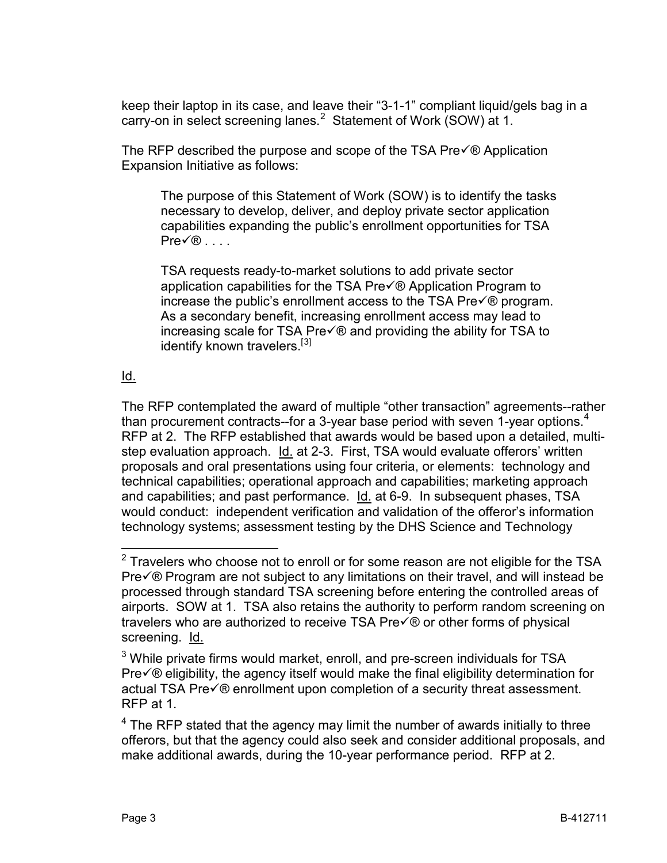keep their laptop in its case, and leave their "3-1-1" compliant liquid/gels bag in a carry-on in select screening lanes. $^2$  $^2$  Statement of Work (SOW) at 1.

The RFP described the purpose and scope of the TSA Pre $\sqrt{\theta}$  Application Expansion Initiative as follows:

The purpose of this Statement of Work (SOW) is to identify the tasks necessary to develop, deliver, and deploy private sector application capabilities expanding the public's enrollment opportunities for TSA  $PreV@$  . . . .

TSA requests ready-to-market solutions to add private sector application capabilities for the TSA Pre $\sqrt{\theta}$  Application Program to increase the public's enrollment access to the TSA Pre $\sqrt{\theta}$  program. As a secondary benefit, increasing enrollment access may lead to increasing scale for TSA Pre $\sqrt{\mathcal{O}}$  and providing the ability for TSA to identify known travelers.<sup>[[3\]](#page-2-1)</sup>

# Id.

The RFP contemplated the award of multiple "other transaction" agreements--rather than procurement contracts--for a 3-year base period with seven 1-year options.<sup>[4](#page-2-2)</sup> RFP at 2. The RFP established that awards would be based upon a detailed, multistep evaluation approach. Id. at 2-3. First, TSA would evaluate offerors' written proposals and oral presentations using four criteria, or elements: technology and technical capabilities; operational approach and capabilities; marketing approach and capabilities; and past performance. Id. at 6-9. In subsequent phases, TSA would conduct: independent verification and validation of the offeror's information technology systems; assessment testing by the DHS Science and Technology

<span id="page-2-0"></span> $2$  Travelers who choose not to enroll or for some reason are not eligible for the TSA  $Pre\sqrt{6}$  Program are not subject to any limitations on their travel, and will instead be processed through standard TSA screening before entering the controlled areas of airports. SOW at 1. TSA also retains the authority to perform random screening on travelers who are authorized to receive TSA  $Pre\check{\otimes}$  or other forms of physical screening. Id.

<span id="page-2-1"></span> $3$  While private firms would market, enroll, and pre-screen individuals for TSA  $Pre\sqrt{\theta}$  eligibility, the agency itself would make the final eligibility determination for actual TSA Pre $\sqrt{\theta}$  enrollment upon completion of a security threat assessment. RFP at 1.

<span id="page-2-2"></span> $4$  The RFP stated that the agency may limit the number of awards initially to three offerors, but that the agency could also seek and consider additional proposals, and make additional awards, during the 10-year performance period. RFP at 2.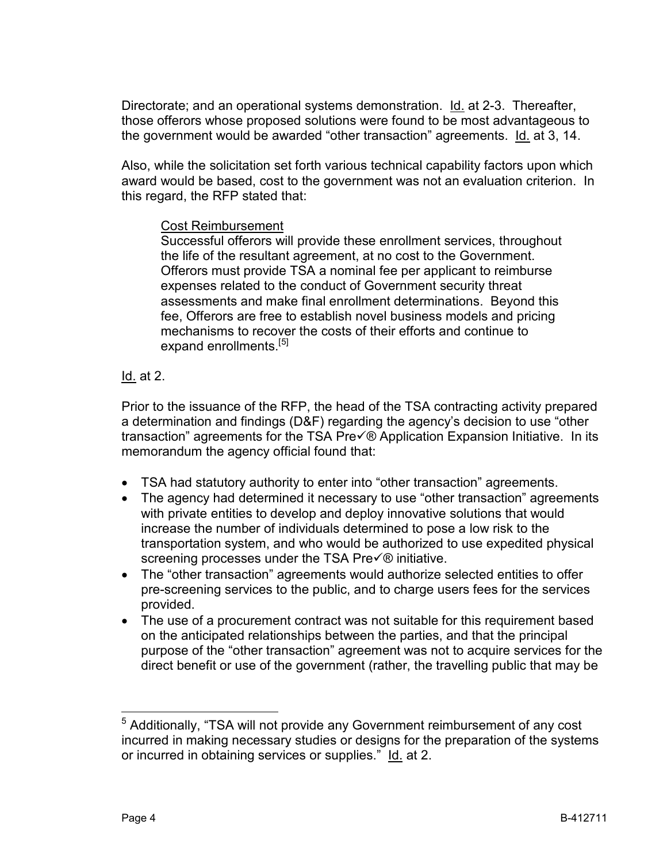Directorate; and an operational systems demonstration. Id. at 2-3. Thereafter, those offerors whose proposed solutions were found to be most advantageous to the government would be awarded "other transaction" agreements. Id. at 3, 14.

Also, while the solicitation set forth various technical capability factors upon which award would be based, cost to the government was not an evaluation criterion. In this regard, the RFP stated that:

### Cost Reimbursement

Successful offerors will provide these enrollment services, throughout the life of the resultant agreement, at no cost to the Government. Offerors must provide TSA a nominal fee per applicant to reimburse expenses related to the conduct of Government security threat assessments and make final enrollment determinations. Beyond this fee, Offerors are free to establish novel business models and pricing mechanisms to recover the costs of their efforts and continue to expand enrollments.<sup>[[5\]](#page-3-0)</sup>

## Id. at 2.

Prior to the issuance of the RFP, the head of the TSA contracting activity prepared a determination and findings (D&F) regarding the agency's decision to use "other transaction" agreements for the TSA Pre $\check{\sqrt{\theta}}$  Application Expansion Initiative. In its memorandum the agency official found that:

- TSA had statutory authority to enter into "other transaction" agreements.
- The agency had determined it necessary to use "other transaction" agreements with private entities to develop and deploy innovative solutions that would increase the number of individuals determined to pose a low risk to the transportation system, and who would be authorized to use expedited physical screening processes under the TSA Pre $\sqrt{\theta}$  initiative.
- The "other transaction" agreements would authorize selected entities to offer pre-screening services to the public, and to charge users fees for the services provided.
- The use of a procurement contract was not suitable for this requirement based on the anticipated relationships between the parties, and that the principal purpose of the "other transaction" agreement was not to acquire services for the direct benefit or use of the government (rather, the travelling public that may be

<span id="page-3-0"></span> <sup>5</sup> Additionally, "TSA will not provide any Government reimbursement of any cost incurred in making necessary studies or designs for the preparation of the systems or incurred in obtaining services or supplies." Id. at 2.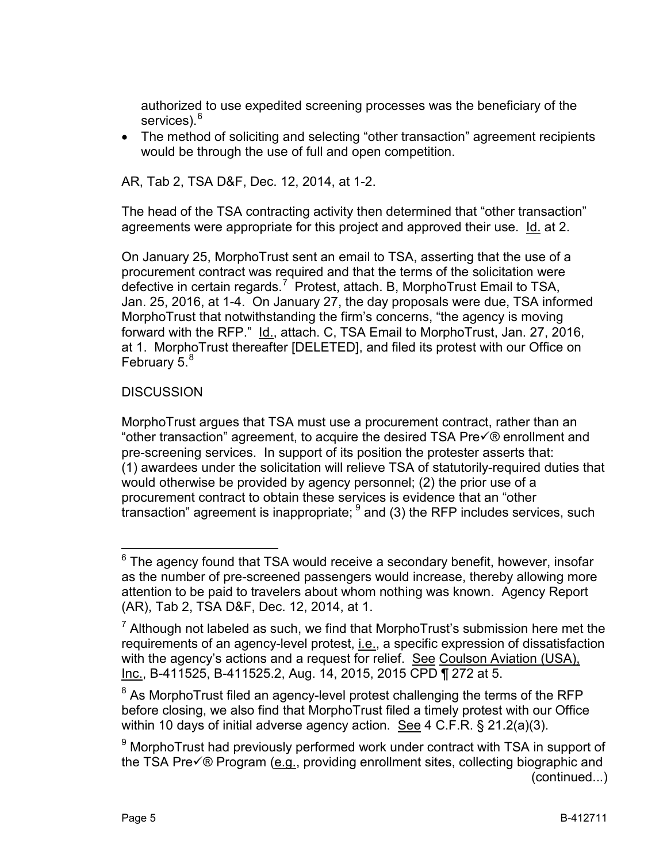authorized to use expedited screening processes was the beneficiary of the services). [6](#page-4-0)

• The method of soliciting and selecting "other transaction" agreement recipients would be through the use of full and open competition.

AR, Tab 2, TSA D&F, Dec. 12, 2014, at 1-2.

The head of the TSA contracting activity then determined that "other transaction" agreements were appropriate for this project and approved their use. Id. at 2.

On January 25, MorphoTrust sent an email to TSA, asserting that the use of a procurement contract was required and that the terms of the solicitation were defective in certain regards.<sup>[7](#page-4-1)</sup> Protest, attach. B, MorphoTrust Email to TSA, Jan. 25, 2016, at 1-4. On January 27, the day proposals were due, TSA informed MorphoTrust that notwithstanding the firm's concerns, "the agency is moving forward with the RFP." Id., attach. C, TSA Email to MorphoTrust, Jan. 27, 2016, at 1. MorphoTrust thereafter [DELETED], and filed its protest with our Office on February 5.<sup>[8](#page-4-2)</sup>

# **DISCUSSION**

MorphoTrust argues that TSA must use a procurement contract, rather than an "other transaction" agreement, to acquire the desired TSA Pre $\sqrt{\ }$  enrollment and pre-screening services. In support of its position the protester asserts that: (1) awardees under the solicitation will relieve TSA of statutorily-required duties that would otherwise be provided by agency personnel; (2) the prior use of a procurement contract to obtain these services is evidence that an "other transaction" agreement is inappropriate;  $9$  and (3) the RFP includes services, such

<span id="page-4-0"></span> $6$  The agency found that TSA would receive a secondary benefit, however, insofar as the number of pre-screened passengers would increase, thereby allowing more attention to be paid to travelers about whom nothing was known. Agency Report (AR), Tab 2, TSA D&F, Dec. 12, 2014, at 1.

<span id="page-4-1"></span> $<sup>7</sup>$  Although not labeled as such, we find that MorphoTrust's submission here met the</sup> requirements of an agency-level protest, i.e., a specific expression of dissatisfaction with the agency's actions and a request for relief. See Coulson Aviation (USA), Inc., B-411525, B-411525.2, Aug. 14, 2015, 2015 CPD ¶ 272 at 5.

<span id="page-4-2"></span> $8$  As MorphoTrust filed an agency-level protest challenging the terms of the RFP before closing, we also find that MorphoTrust filed a timely protest with our Office within 10 days of initial adverse agency action. See 4 C.F.R. § 21.2(a)(3).

<span id="page-4-3"></span> $9$  MorphoTrust had previously performed work under contract with TSA in support of the TSA Pre $\sqrt{\theta}$  Program (e.g., providing enrollment sites, collecting biographic and (continued...)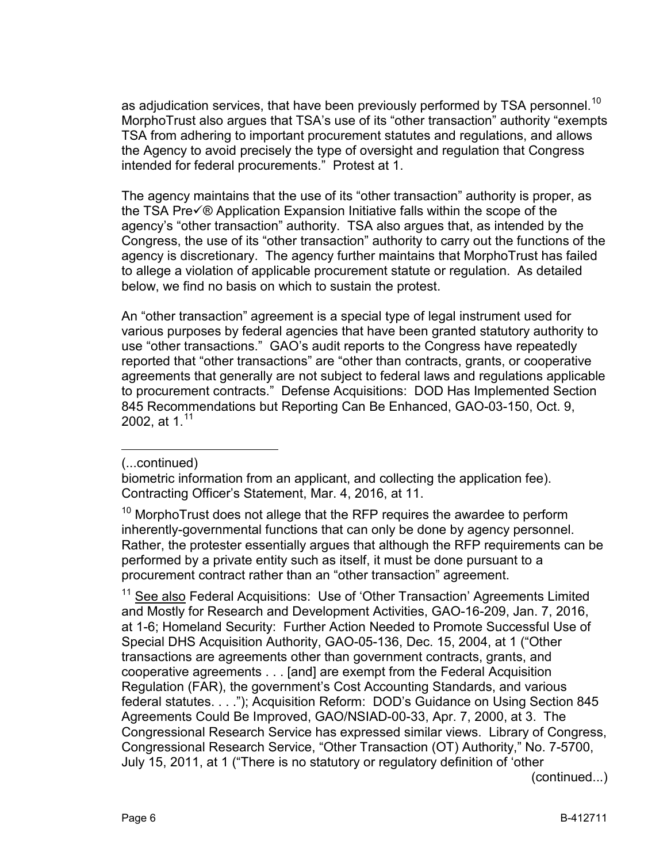as adjudication services, that have been previously performed by TSA personnel.<sup>[10](#page-5-0)</sup> MorphoTrust also argues that TSA's use of its "other transaction" authority "exempts TSA from adhering to important procurement statutes and regulations, and allows the Agency to avoid precisely the type of oversight and regulation that Congress intended for federal procurements." Protest at 1.

The agency maintains that the use of its "other transaction" authority is proper, as the TSA Pre $\check{\nabla}$ ® Application Expansion Initiative falls within the scope of the agency's "other transaction" authority. TSA also argues that, as intended by the Congress, the use of its "other transaction" authority to carry out the functions of the agency is discretionary. The agency further maintains that MorphoTrust has failed to allege a violation of applicable procurement statute or regulation. As detailed below, we find no basis on which to sustain the protest.

An "other transaction" agreement is a special type of legal instrument used for various purposes by federal agencies that have been granted statutory authority to use "other transactions." GAO's audit reports to the Congress have repeatedly reported that "other transactions" are "other than contracts, grants, or cooperative agreements that generally are not subject to federal laws and regulations applicable to procurement contracts." Defense Acquisitions: DOD Has Implemented Section 845 Recommendations but Reporting Can Be Enhanced, GAO-03-150, Oct. 9, 2002, at 1. $11$ 

#### (...continued)

 $\overline{a}$ 

<span id="page-5-1"></span><sup>11</sup> See also Federal Acquisitions: Use of 'Other Transaction' Agreements Limited and Mostly for Research and Development Activities, GAO-16-209, Jan. 7, 2016, at 1-6; Homeland Security: Further Action Needed to Promote Successful Use of Special DHS Acquisition Authority, GAO-05-136, Dec. 15, 2004, at 1 ("Other transactions are agreements other than government contracts, grants, and cooperative agreements . . . [and] are exempt from the Federal Acquisition Regulation (FAR), the government's Cost Accounting Standards, and various federal statutes. . . ."); Acquisition Reform: DOD's Guidance on Using Section 845 Agreements Could Be Improved, GAO/NSIAD-00-33, Apr. 7, 2000, at 3. The Congressional Research Service has expressed similar views. Library of Congress, Congressional Research Service, "Other Transaction (OT) Authority," No. 7-5700, July 15, 2011, at 1 ("There is no statutory or regulatory definition of 'other

(continued...)

biometric information from an applicant, and collecting the application fee). Contracting Officer's Statement, Mar. 4, 2016, at 11.

<span id="page-5-0"></span> $10$  MorphoTrust does not allege that the RFP requires the awardee to perform inherently-governmental functions that can only be done by agency personnel. Rather, the protester essentially argues that although the RFP requirements can be performed by a private entity such as itself, it must be done pursuant to a procurement contract rather than an "other transaction" agreement.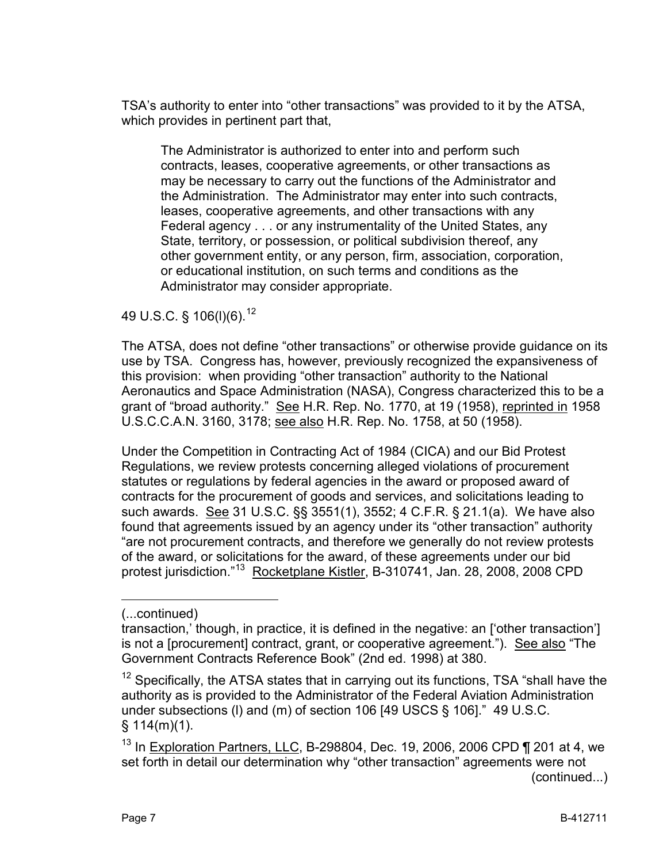TSA's authority to enter into "other transactions" was provided to it by the ATSA, which provides in pertinent part that,

The Administrator is authorized to enter into and perform such contracts, leases, cooperative agreements, or other transactions as may be necessary to carry out the functions of the Administrator and the Administration. The Administrator may enter into such contracts, leases, cooperative agreements, and other transactions with any Federal agency . . . or any instrumentality of the United States, any State, territory, or possession, or political subdivision thereof, any other government entity, or any person, firm, association, corporation, or educational institution, on such terms and conditions as the Administrator may consider appropriate.

# 49 U.S.C. § 106(l)(6).[12](#page-6-0)

The ATSA, does not define "other transactions" or otherwise provide guidance on its use by TSA. Congress has, however, previously recognized the expansiveness of this provision: when providing "other transaction" authority to the National Aeronautics and Space Administration (NASA), Congress characterized this to be a grant of "broad authority." See H.R. Rep. No. 1770, at 19 (1958), reprinted in 1958 U.S.C.C.A.N. 3160, 3178; see also H.R. Rep. No. 1758, at 50 (1958).

Under the Competition in Contracting Act of 1984 (CICA) and our Bid Protest Regulations, we review protests concerning alleged violations of procurement statutes or regulations by federal agencies in the award or proposed award of contracts for the procurement of goods and services, and solicitations leading to such awards. See 31 U.S.C. §§ 3551(1), 3552; 4 C.F.R. § 21.1(a). We have also found that agreements issued by an agency under its "other transaction" authority "are not procurement contracts, and therefore we generally do not review protests of the award, or solicitations for the award, of these agreements under our bid protest jurisdiction."[13](#page-6-1) Rocketplane Kistler, B-310741, Jan. 28, 2008, 2008 CPD

 $\overline{a}$ 

<sup>(...</sup>continued)

transaction,' though, in practice, it is defined in the negative: an ['other transaction'] is not a [procurement] contract, grant, or cooperative agreement."). See also "The Government Contracts Reference Book" (2nd ed. 1998) at 380.

<span id="page-6-0"></span> $12$  Specifically, the ATSA states that in carrying out its functions, TSA "shall have the authority as is provided to the Administrator of the Federal Aviation Administration under subsections (l) and (m) of section 106 [49 USCS § 106]." 49 U.S.C.  $§ 114(m)(1).$ 

<span id="page-6-1"></span><sup>&</sup>lt;sup>13</sup> In Exploration Partners, LLC, B-298804, Dec. 19, 2006, 2006 CPD ¶ 201 at 4, we set forth in detail our determination why "other transaction" agreements were not (continued...)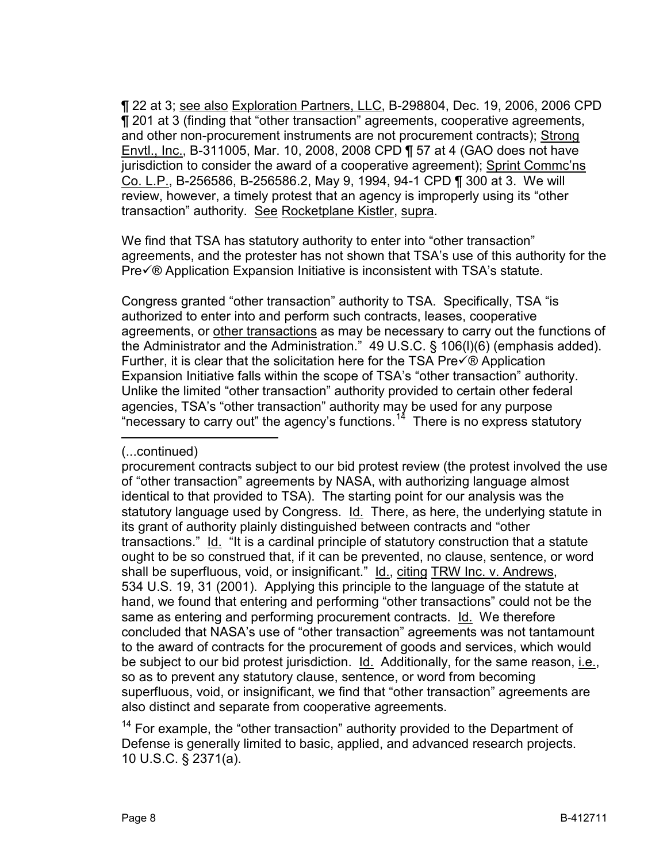¶ 22 at 3; see also Exploration Partners, LLC, B-298804, Dec. 19, 2006, 2006 CPD ¶ 201 at 3 (finding that "other transaction" agreements, cooperative agreements, and other non-procurement instruments are not procurement contracts); Strong Envtl., Inc., B-311005, Mar. 10, 2008, 2008 CPD ¶ 57 at 4 (GAO does not have jurisdiction to consider the award of a cooperative agreement); Sprint Commc'ns Co. L.P., B-256586, B-256586.2, May 9, 1994, 94-1 CPD ¶ 300 at 3. We will review, however, a timely protest that an agency is improperly using its "other transaction" authority. See Rocketplane Kistler, supra.

We find that TSA has statutory authority to enter into "other transaction" agreements, and the protester has not shown that TSA's use of this authority for the Preè Application Expansion Initiative is inconsistent with TSA's statute.

Congress granted "other transaction" authority to TSA. Specifically, TSA "is authorized to enter into and perform such contracts, leases, cooperative agreements, or other transactions as may be necessary to carry out the functions of the Administrator and the Administration." 49 U.S.C. § 106(l)(6) (emphasis added). Further, it is clear that the solicitation here for the TSA Pre $\sqrt{\theta}$  Application Expansion Initiative falls within the scope of TSA's "other transaction" authority. Unlike the limited "other transaction" authority provided to certain other federal agencies, TSA's "other transaction" authority may be used for any purpose "necessary to carry out" the agency's functions.<sup>[14](#page-7-0)</sup> There is no express statutory

 $\overline{a}$ 

<sup>(...</sup>continued)

procurement contracts subject to our bid protest review (the protest involved the use of "other transaction" agreements by NASA, with authorizing language almost identical to that provided to TSA). The starting point for our analysis was the statutory language used by Congress. Id. There, as here, the underlying statute in its grant of authority plainly distinguished between contracts and "other transactions." Id. "It is a cardinal principle of statutory construction that a statute ought to be so construed that, if it can be prevented, no clause, sentence, or word shall be superfluous, void, or insignificant." Id., citing TRW Inc. v. Andrews, 534 U.S. 19, 31 (2001). Applying this principle to the language of the statute at hand, we found that entering and performing "other transactions" could not be the same as entering and performing procurement contracts. Id. We therefore concluded that NASA's use of "other transaction" agreements was not tantamount to the award of contracts for the procurement of goods and services, which would be subject to our bid protest jurisdiction. Id. Additionally, for the same reason, i.e., so as to prevent any statutory clause, sentence, or word from becoming superfluous, void, or insignificant, we find that "other transaction" agreements are also distinct and separate from cooperative agreements.

<span id="page-7-0"></span> $14$  For example, the "other transaction" authority provided to the Department of Defense is generally limited to basic, applied, and advanced research projects. 10 U.S.C. § 2371(a).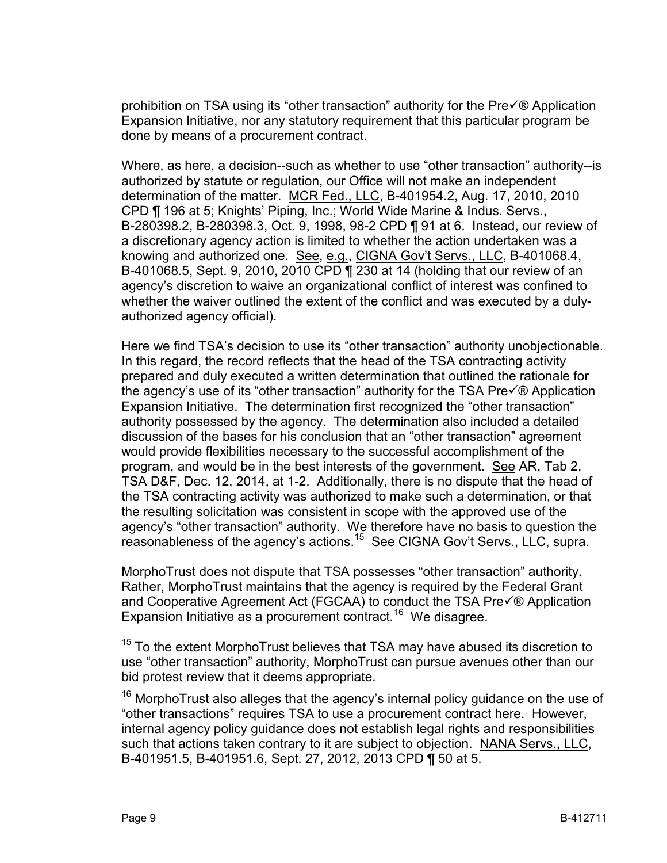prohibition on TSA using its "other transaction" authority for the  $Pre\sqrt{ }$   $\heartsuit$  Application Expansion Initiative, nor any statutory requirement that this particular program be done by means of a procurement contract.

Where, as here, a decision--such as whether to use "other transaction" authority--is authorized by statute or regulation, our Office will not make an independent determination of the matter. MCR Fed., LLC, B-401954.2, Aug. 17, 2010, 2010 CPD ¶ 196 at 5; Knights' Piping, Inc.; World Wide Marine & Indus. Servs., B-280398.2, B-280398.3, Oct. 9, 1998, 98-2 CPD ¶ 91 at 6. Instead, our review of a discretionary agency action is limited to whether the action undertaken was a knowing and authorized one. See, e.g., CIGNA Gov't Servs., LLC, B-401068.4, B-401068.5, Sept. 9, 2010, 2010 CPD ¶ 230 at 14 (holding that our review of an agency's discretion to waive an organizational conflict of interest was confined to whether the waiver outlined the extent of the conflict and was executed by a dulyauthorized agency official).

Here we find TSA's decision to use its "other transaction" authority unobjectionable. In this regard, the record reflects that the head of the TSA contracting activity prepared and duly executed a written determination that outlined the rationale for the agency's use of its "other transaction" authority for the TSA Pre $\sqrt{\theta}$  Application Expansion Initiative. The determination first recognized the "other transaction" authority possessed by the agency. The determination also included a detailed discussion of the bases for his conclusion that an "other transaction" agreement would provide flexibilities necessary to the successful accomplishment of the program, and would be in the best interests of the government. See AR, Tab 2, TSA D&F, Dec. 12, 2014, at 1-2. Additionally, there is no dispute that the head of the TSA contracting activity was authorized to make such a determination, or that the resulting solicitation was consistent in scope with the approved use of the agency's "other transaction" authority. We therefore have no basis to question the reasonableness of the agency's actions.[15](#page-8-0) See CIGNA Gov't Servs., LLC, supra.

MorphoTrust does not dispute that TSA possesses "other transaction" authority. Rather, MorphoTrust maintains that the agency is required by the Federal Grant and Cooperative Agreement Act (FGCAA) to conduct the TSA Pre $\check{\nabla}$  Application Expansion Initiative as a procurement contract.<sup>16</sup> We disagree.

<span id="page-8-1"></span> $16$  MorphoTrust also alleges that the agency's internal policy guidance on the use of "other transactions" requires TSA to use a procurement contract here. However, internal agency policy guidance does not establish legal rights and responsibilities such that actions taken contrary to it are subject to objection. NANA Servs., LLC, B-401951.5, B-401951.6, Sept. 27, 2012, 2013 CPD ¶ 50 at 5.

<span id="page-8-0"></span><sup>&</sup>lt;sup>15</sup> To the extent MorphoTrust believes that TSA may have abused its discretion to use "other transaction" authority, MorphoTrust can pursue avenues other than our bid protest review that it deems appropriate.